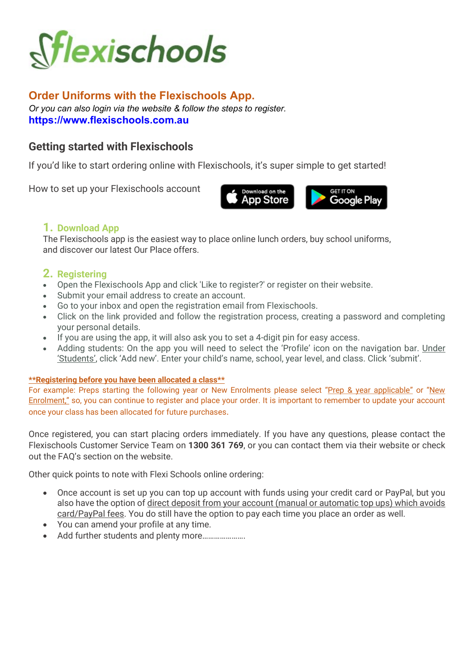

# Order Uniforms with the Flexischools App.

Or you can also login via the website & follow the steps to register. https://www.flexischools.com.au

# Getting started with Flexischools

If you'd like to start ordering online with Flexischools, it's super simple to get started!

How to set up your Flexischools account



# 1. Download App

The Flexischools app is the easiest way to place online lunch orders, buy school uniforms, and discover our latest Our Place offers.

# 2. Registering

- Open the Flexischools App and click 'Like to register?' or register on their website.
- Submit your email address to create an account.
- Go to your inbox and open the registration email from Flexischools.
- Click on the link provided and follow the registration process, creating a password and completing your personal details.
- If you are using the app, it will also ask you to set a 4-digit pin for easy access.
- Adding students: On the app you will need to select the 'Profile' icon on the navigation bar. Under 'Students', click 'Add new'. Enter your child's name, school, year level, and class. Click 'submit'.

## \*\*Registering before you have been allocated a class\*\*

For example: Preps starting the following year or New Enrolments please select "Prep & year applicable" or "New Enrolment," so, you can continue to register and place your order. It is important to remember to update your account once your class has been allocated for future purchases.

Once registered, you can start placing orders immediately. If you have any questions, please contact the Flexischools Customer Service Team on 1300 361 769, or you can contact them via their website or check out the FAQ's section on the website.

Other quick points to note with Flexi Schools online ordering:

- Once account is set up you can top up account with funds using your credit card or PayPal, but you also have the option of direct deposit from your account (manual or automatic top ups) which avoids card/PayPal fees. You do still have the option to pay each time you place an order as well.
- You can amend your profile at any time.
- Add further students and plenty more………………….